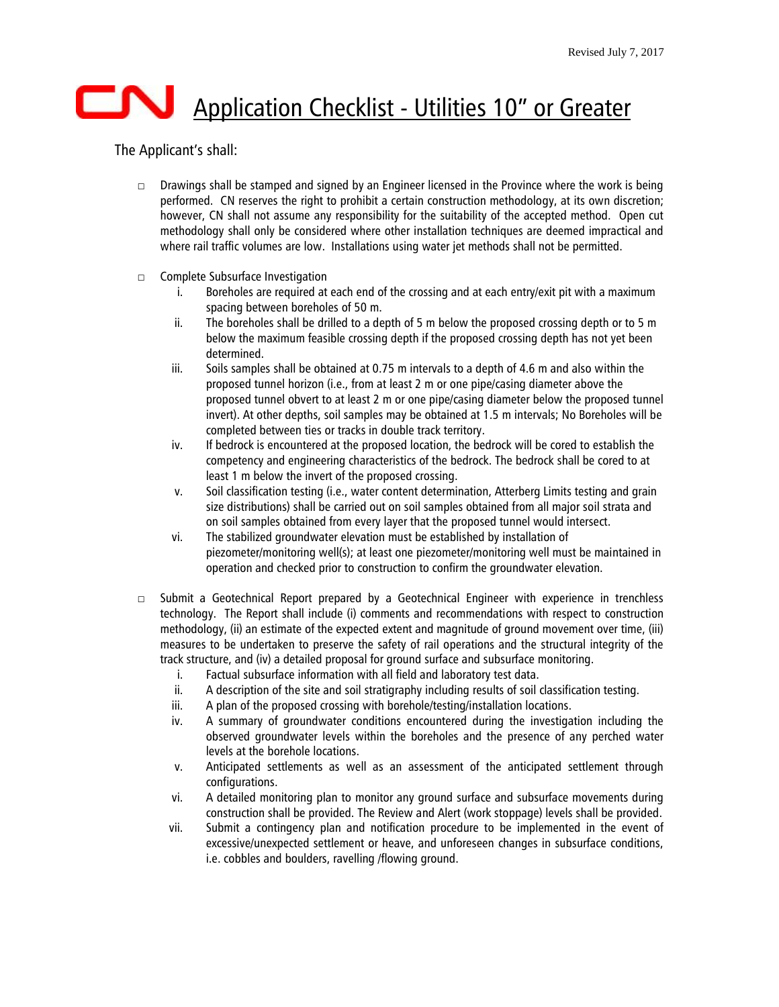## Application Checklist - Utilities 10" or Greater

## The Applicant's shall:

- $\square$  Drawings shall be stamped and signed by an Engineer licensed in the Province where the work is being performed. CN reserves the right to prohibit a certain construction methodology, at its own discretion; however, CN shall not assume any responsibility for the suitability of the accepted method. Open cut methodology shall only be considered where other installation techniques are deemed impractical and where rail traffic volumes are low. Installations using water jet methods shall not be permitted.
- □ Complete Subsurface Investigation
	- i. Boreholes are required at each end of the crossing and at each entry/exit pit with a maximum spacing between boreholes of 50 m.
	- ii. The boreholes shall be drilled to a depth of 5 m below the proposed crossing depth or to 5 m below the maximum feasible crossing depth if the proposed crossing depth has not yet been determined.
	- iii. Soils samples shall be obtained at 0.75 m intervals to a depth of 4.6 m and also within the proposed tunnel horizon (i.e., from at least 2 m or one pipe/casing diameter above the proposed tunnel obvert to at least 2 m or one pipe/casing diameter below the proposed tunnel invert). At other depths, soil samples may be obtained at 1.5 m intervals; No Boreholes will be completed between ties or tracks in double track territory.
	- iv. If bedrock is encountered at the proposed location, the bedrock will be cored to establish the competency and engineering characteristics of the bedrock. The bedrock shall be cored to at least 1 m below the invert of the proposed crossing.
	- v. Soil classification testing (i.e., water content determination, Atterberg Limits testing and grain size distributions) shall be carried out on soil samples obtained from all major soil strata and on soil samples obtained from every layer that the proposed tunnel would intersect.
	- vi. The stabilized groundwater elevation must be established by installation of piezometer/monitoring well(s); at least one piezometer/monitoring well must be maintained in operation and checked prior to construction to confirm the groundwater elevation.
- □ Submit a Geotechnical Report prepared by a Geotechnical Engineer with experience in trenchless technology. The Report shall include (i) comments and recommendations with respect to construction methodology, (ii) an estimate of the expected extent and magnitude of ground movement over time, (iii) measures to be undertaken to preserve the safety of rail operations and the structural integrity of the track structure, and (iv) a detailed proposal for ground surface and subsurface monitoring.
	- i. Factual subsurface information with all field and laboratory test data.
	- ii. A description of the site and soil stratigraphy including results of soil classification testing.
	- iii. A plan of the proposed crossing with borehole/testing/installation locations.
	- iv. A summary of groundwater conditions encountered during the investigation including the observed groundwater levels within the boreholes and the presence of any perched water levels at the borehole locations.
	- v. Anticipated settlements as well as an assessment of the anticipated settlement through configurations.
	- vi. A detailed monitoring plan to monitor any ground surface and subsurface movements during construction shall be provided. The Review and Alert (work stoppage) levels shall be provided.
	- vii. Submit a contingency plan and notification procedure to be implemented in the event of excessive/unexpected settlement or heave, and unforeseen changes in subsurface conditions, i.e. cobbles and boulders, ravelling /flowing ground.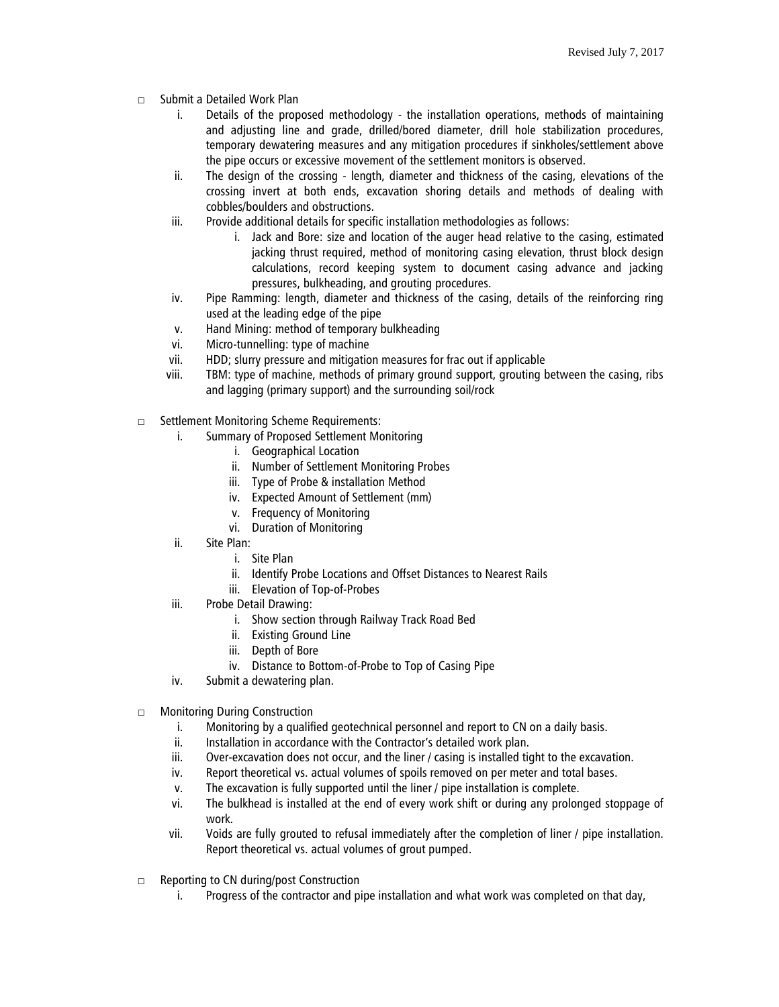- □ Submit a Detailed Work Plan
	- i. Details of the proposed methodology the installation operations, methods of maintaining and adjusting line and grade, drilled/bored diameter, drill hole stabilization procedures, temporary dewatering measures and any mitigation procedures if sinkholes/settlement above the pipe occurs or excessive movement of the settlement monitors is observed.
	- ii. The design of the crossing length, diameter and thickness of the casing, elevations of the crossing invert at both ends, excavation shoring details and methods of dealing with cobbles/boulders and obstructions.
	- iii. Provide additional details for specific installation methodologies as follows:
		- i. Jack and Bore: size and location of the auger head relative to the casing, estimated jacking thrust required, method of monitoring casing elevation, thrust block design calculations, record keeping system to document casing advance and jacking pressures, bulkheading, and grouting procedures.
	- iv. Pipe Ramming: length, diameter and thickness of the casing, details of the reinforcing ring used at the leading edge of the pipe
	- v. Hand Mining: method of temporary bulkheading
	- vi. Micro-tunnelling: type of machine
	- vii. HDD; slurry pressure and mitigation measures for frac out if applicable
	- viii. TBM: type of machine, methods of primary ground support, grouting between the casing, ribs and lagging (primary support) and the surrounding soil/rock
- □ Settlement Monitoring Scheme Requirements:
	- i. Summary of Proposed Settlement Monitoring
		- i. Geographical Location
		- ii. Number of Settlement Monitoring Probes
		- iii. Type of Probe & installation Method
		- iv. Expected Amount of Settlement (mm)
		- v. Frequency of Monitoring
		- vi. Duration of Monitoring
	- ii. Site Plan:
		- i. Site Plan
		- ii. Identify Probe Locations and Offset Distances to Nearest Rails
		- iii. Elevation of Top-of-Probes
	- iii. Probe Detail Drawing:
		- i. Show section through Railway Track Road Bed
		- ii. Existing Ground Line
		- iii. Depth of Bore
		- iv. Distance to Bottom-of-Probe to Top of Casing Pipe
	- iv. Submit a dewatering plan.
- □ Monitoring During Construction
	- i. Monitoring by a qualified geotechnical personnel and report to CN on a daily basis.
	- ii. Installation in accordance with the Contractor's detailed work plan.
	- iii. Over-excavation does not occur, and the liner / casing is installed tight to the excavation.
	- iv. Report theoretical vs. actual volumes of spoils removed on per meter and total bases.
	- v. The excavation is fully supported until the liner / pipe installation is complete.
	- vi. The bulkhead is installed at the end of every work shift or during any prolonged stoppage of work.
	- vii. Voids are fully grouted to refusal immediately after the completion of liner / pipe installation. Report theoretical vs. actual volumes of grout pumped.
- □ Reporting to CN during/post Construction
	- i. Progress of the contractor and pipe installation and what work was completed on that day,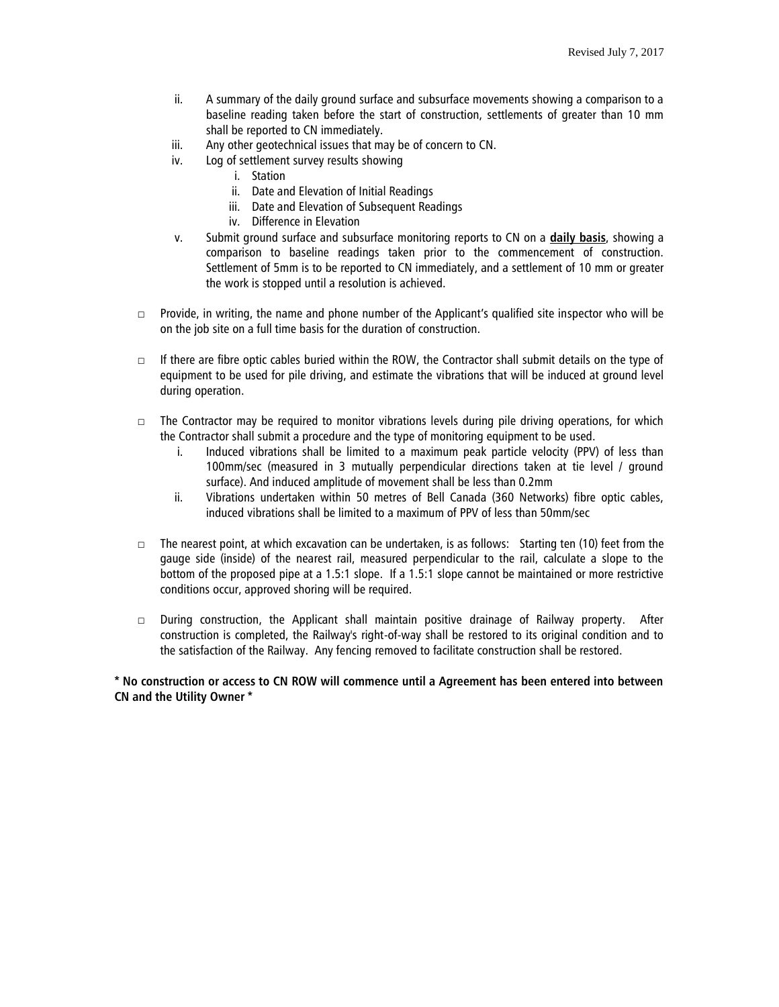- ii. A summary of the daily ground surface and subsurface movements showing a comparison to a baseline reading taken before the start of construction, settlements of greater than 10 mm shall be reported to CN immediately.
- iii. Any other geotechnical issues that may be of concern to CN.
- iv. Log of settlement survey results showing
	- i. Station
	- ii. Date and Elevation of Initial Readings
	- iii. Date and Elevation of Subsequent Readings
	- iv. Difference in Elevation
- v. Submit ground surface and subsurface monitoring reports to CN on a **daily basis**, showing a comparison to baseline readings taken prior to the commencement of construction. Settlement of 5mm is to be reported to CN immediately, and a settlement of 10 mm or greater the work is stopped until a resolution is achieved.
- □ Provide, in writing, the name and phone number of the Applicant's qualified site inspector who will be on the job site on a full time basis for the duration of construction.
- $\Box$  If there are fibre optic cables buried within the ROW, the Contractor shall submit details on the type of equipment to be used for pile driving, and estimate the vibrations that will be induced at ground level during operation.
- $\Box$  The Contractor may be required to monitor vibrations levels during pile driving operations, for which the Contractor shall submit a procedure and the type of monitoring equipment to be used.
	- i. Induced vibrations shall be limited to a maximum peak particle velocity (PPV) of less than 100mm/sec (measured in 3 mutually perpendicular directions taken at tie level / ground surface). And induced amplitude of movement shall be less than 0.2mm
	- ii. Vibrations undertaken within 50 metres of Bell Canada (360 Networks) fibre optic cables, induced vibrations shall be limited to a maximum of PPV of less than 50mm/sec
- $\Box$  The nearest point, at which excavation can be undertaken, is as follows: Starting ten (10) feet from the gauge side (inside) of the nearest rail, measured perpendicular to the rail, calculate a slope to the bottom of the proposed pipe at a 1.5:1 slope. If a 1.5:1 slope cannot be maintained or more restrictive conditions occur, approved shoring will be required.
- □ During construction, the Applicant shall maintain positive drainage of Railway property. After construction is completed, the Railway's right-of-way shall be restored to its original condition and to the satisfaction of the Railway. Any fencing removed to facilitate construction shall be restored.

## **\* No construction or access to CN ROW will commence until a Agreement has been entered into between CN and the Utility Owner \***